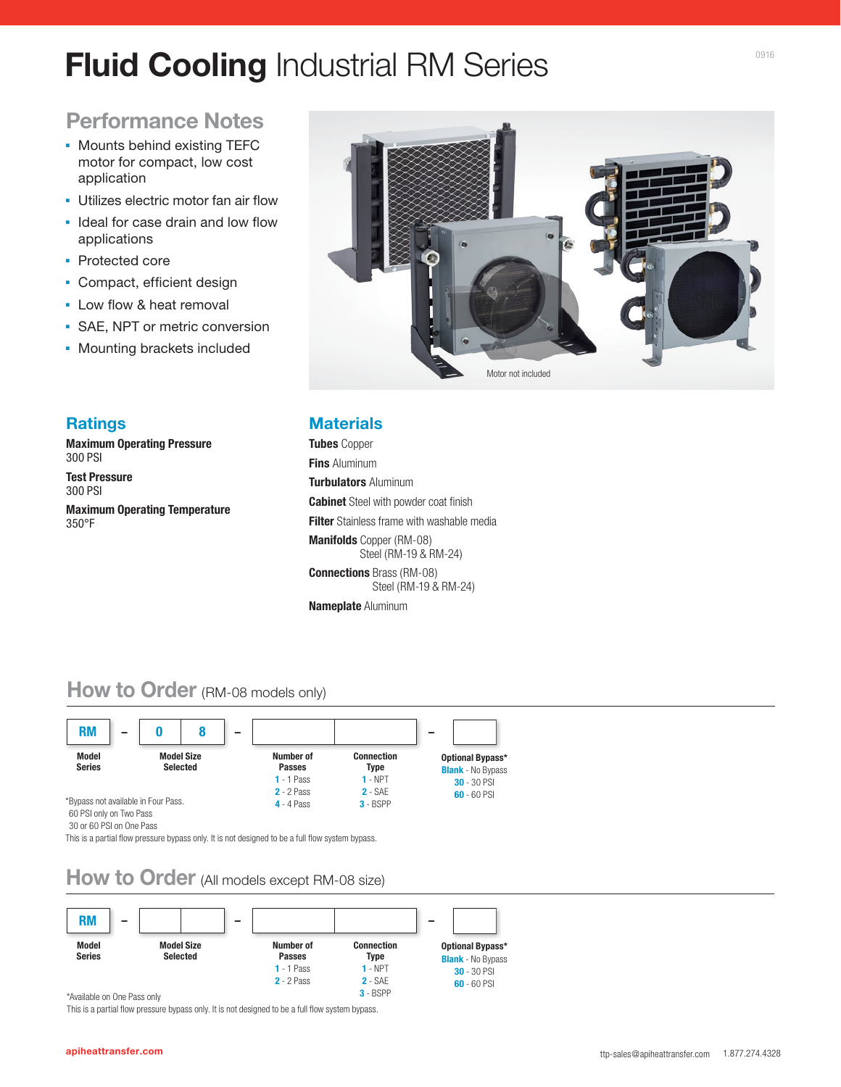# **Fluid Cooling** Industrial RM Series

# **Performance Notes**

- Mounts behind existing TEFC motor for compact, low cost application
- **.** Utilizes electric motor fan air flow
- **.** Ideal for case drain and low flow applications
- Protected core
- Compact, efficient design
- Low flow & heat removal
- SAE, NPT or metric conversion
- Mounting brackets included



### **Ratings**

**Maximum Operating Pressure**  300 PSI

**Test Pressure**  300 PSI

**Maximum Operating Temperature**  350°F

### **Materials**

**Tubes** Copper **Fins** Aluminum **Turbulators** Aluminum **Cabinet** Steel with powder coat finish **Filter** Stainless frame with washable media **Manifolds** Copper (RM-08) Steel (RM-19 & RM-24) **Connections** Brass (RM-08) Steel (RM-19 & RM-24) **Nameplate** Aluminum

## **How to Order** (RM-08 models only)



<sup>30</sup> or 60 PSI on One Pass

This is a partial flow pressure bypass only. It is not designed to be a full flow system bypass.

# **How to Order** (All models except RM-08 size)



This is a partial flow pressure bypass only. It is not designed to be a full flow system bypass.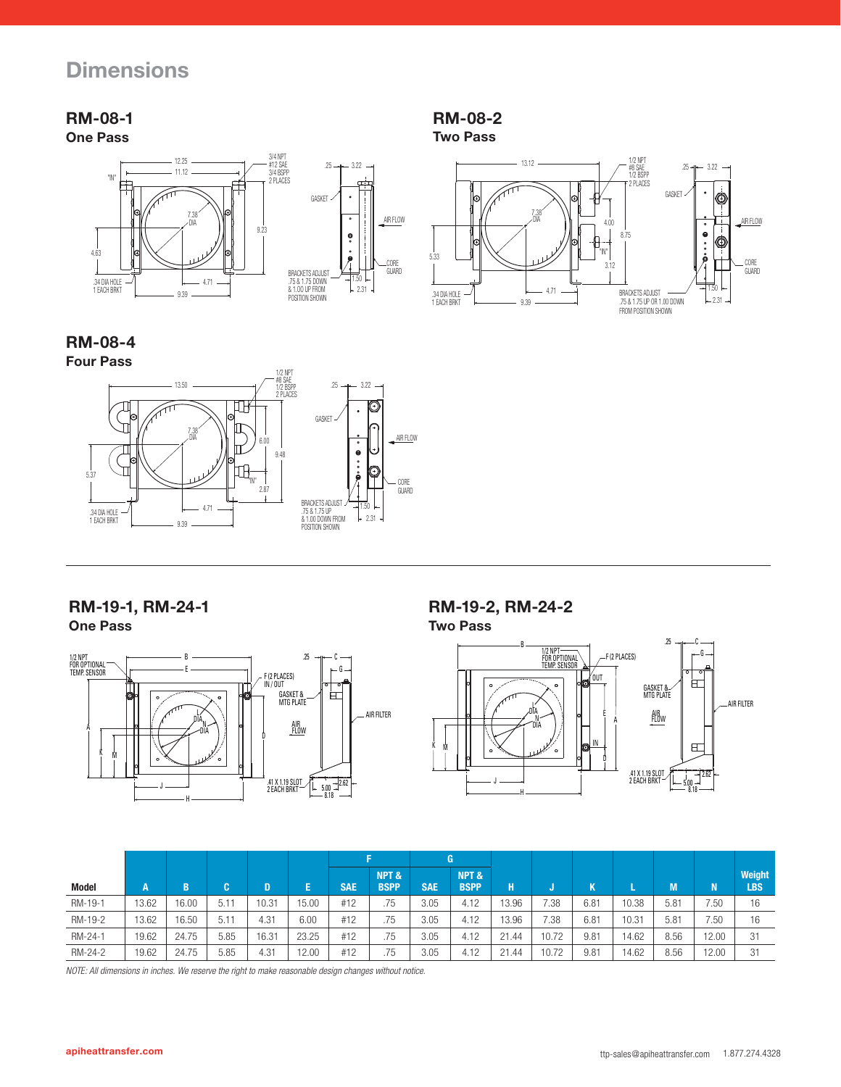# **Dimensions**

### **RM-08-1 One Pass**



**RM-08-4 Four Pass**



### **RM-19-1, RM-24-1**

**One Pass**



### **RM-19-2, RM-24-2**

**Two Pass**

**RM-08-2 Two Pass**

5.33

.34 DIA HOLE 1 EACH BRKT

7.38 DIA

13.12

8.75

BRACKETS ADJUST<br>.75 & 1.75 UP OR 1.00 DOWN<br>FROM POSITION SHOWN

3.12

"IN"

4.00

3.22 1/2 NPT #8 SAE 1/2 BSPP 2 PLACES

.25

GASKET

CORE GUARD

AIR FLOW

 1.50  $231$ 

0

÷.  $\bullet$   $\bullet$ 

Ó

9.39

4.71



|         |       |       |              |       |       |            |                      |            | G                   |       |       |                     |       |      |       |                |
|---------|-------|-------|--------------|-------|-------|------------|----------------------|------------|---------------------|-------|-------|---------------------|-------|------|-------|----------------|
| Model   | A     | B     | $\mathbf{r}$ | D     | E     | <b>SAE</b> | NPT &<br><b>BSPP</b> | <b>SAE</b> | NPT&<br><b>BSPP</b> | н     |       | $\overline{u}$<br>N |       | M    | 'N.   | Weight<br>LBS. |
| RM-19-1 | 13.62 | 16.00 | 5.11         | 10.31 | 5.00  | #12        | .75                  | 3.05       | 4.12                | 13.96 | 7.38  | 6.81                | 10.38 | 5.81 | 7.50  | 16             |
| RM-19-2 | 13.62 | 16.50 | 5.11         | 4.31  | 6.00  | #12        | .75                  | 3.05       | 4.12                | 13.96 | 7.38  | 6.81                | 10.31 | 5.81 | 7.50  | 16             |
| RM-24-1 | 19.62 | 24.75 | 5.85         | 16.31 | 23.25 | #12        | .75                  | 3.05       | 4.12                | 21.44 | 10.72 | 9.81                | 14.62 | 8.56 | 12.00 | 31             |
| RM-24-2 | 19.62 | 24.75 | 5.85         | 4.31  | 2.00  | #12        | .75                  | 3.05       | 4.12                | 21.44 | 10.72 | 9.81                | 14.62 | 8.56 | 12.00 | 31             |

*NOTE: All dimensions in inches. We reserve the right to make reasonable design changes without notice.*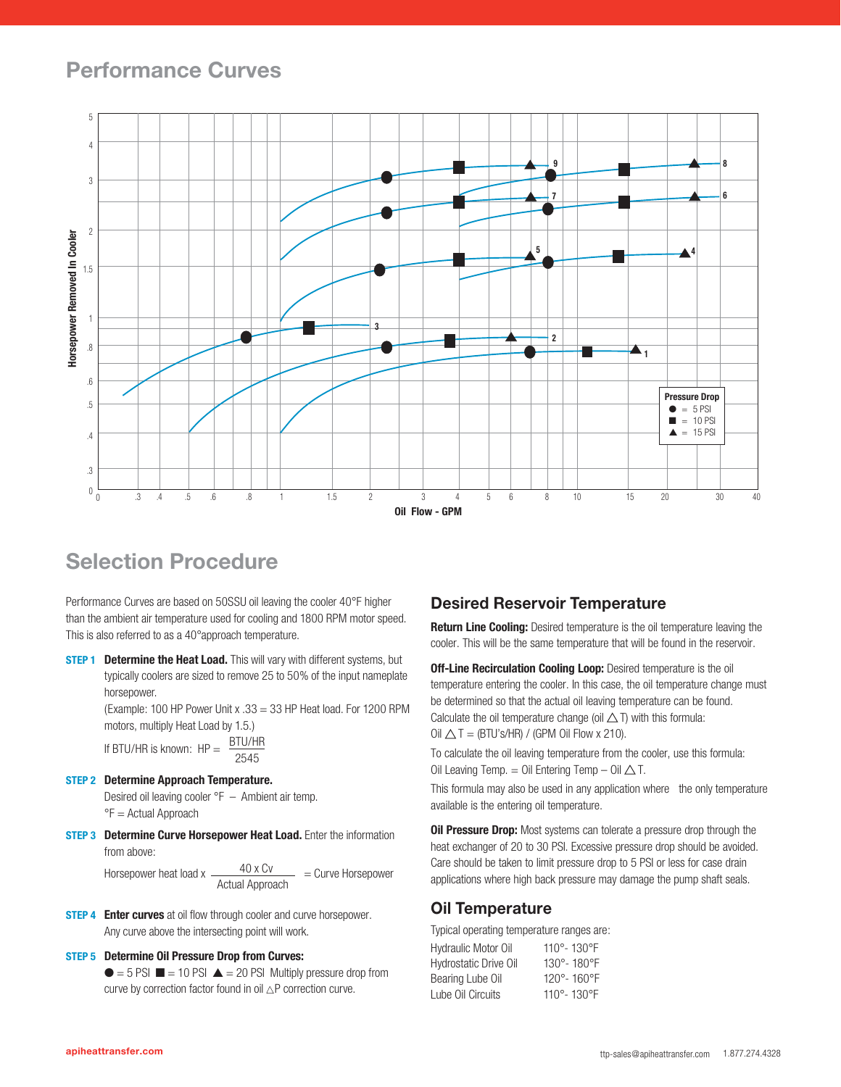# **Performance Curves**



# **Selection Procedure**

Performance Curves are based on 50SSU oil leaving the cooler 40°F higher than the ambient air temperature used for cooling and 1800 RPM motor speed. This is also referred to as a 40°approach temperature.

**STEP 1 Determine the Heat Load.** This will vary with different systems, but typically coolers are sized to remove 25 to 50% of the input nameplate horsepower.

> (Example: 100 HP Power Unit x .33 = 33 HP Heat load. For 1200 RPM motors, multiply Heat Load by 1.5.)

If BTU/HR is known: 
$$
HP = \frac{BTU/HR}{2545}
$$

**STEP 2 Determine Approach Temperature.**

Desired oil leaving cooler °F – Ambient air temp. °F = Actual Approach

**STEP 3** Determine Curve Horsepower Heat Load. Enter the information from above:

> Horsepower heat load x  $\frac{40 \times CV}{4000}$  = Curve Horsepower Actual Approach

**STEP 4 Enter curves** at oil flow through cooler and curve horsepower. Any curve above the intersecting point will work.

### **STEP 5 Determine Oil Pressure Drop from Curves:**

 $\bullet$  = 5 PSI  $\blacksquare$  = 10 PSI  $\blacktriangle$  = 20 PSI Multiply pressure drop from curve by correction factor found in oil  $\triangle P$  correction curve.

### **Desired Reservoir Temperature**

**Return Line Cooling:** Desired temperature is the oil temperature leaving the cooler. This will be the same temperature that will be found in the reservoir.

**Off-Line Recirculation Cooling Loop:** Desired temperature is the oil temperature entering the cooler. In this case, the oil temperature change must be determined so that the actual oil leaving temperature can be found. Calculate the oil temperature change (oil  $\triangle$  T) with this formula: Oil  $\triangle T = (BTU's/HR) / (GPM$  Oil Flow x 210).

To calculate the oil leaving temperature from the cooler, use this formula: Oil Leaving Temp. = Oil Entering Temp  $-$  Oil  $\triangle$  T.

This formula may also be used in any application where the only temperature available is the entering oil temperature.

**Oil Pressure Drop:** Most systems can tolerate a pressure drop through the heat exchanger of 20 to 30 PSI. Excessive pressure drop should be avoided. Care should be taken to limit pressure drop to 5 PSI or less for case drain applications where high back pressure may damage the pump shaft seals.

### **Oil Temperature**

Typical operating temperature ranges are:

| Hydraulic Motor Oil          | 110°-130°F |
|------------------------------|------------|
| <b>Hydrostatic Drive Oil</b> | 130°-180°F |
| Bearing Lube Oil             | 120°-160°F |
| Lube Oil Circuits            | 110°-130°F |